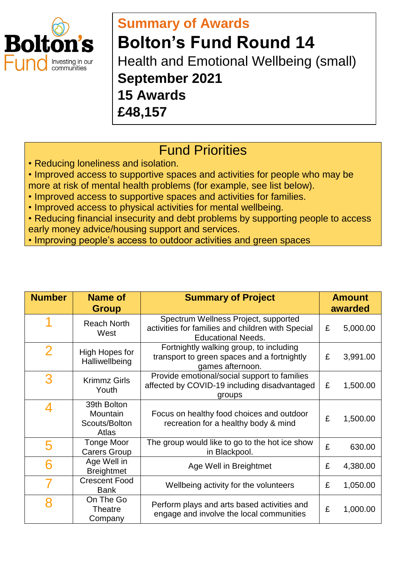

## **Summary of Awards Bolton's Fund Round 14** Health and Emotional Wellbeing (small) **September 2021**

**15 Awards** 

**£48,157**

## Fund Priorities

• Reducing loneliness and isolation.

• Improved access to supportive spaces and activities for people who may be more at risk of mental health problems (for example, see list below).

- Improved access to supportive spaces and activities for families.
- Improved access to physical activities for mental wellbeing.
- Reducing financial insecurity and debt problems by supporting people to access early money advice/housing support and services.
- Improving people's access to outdoor activities and green spaces

| <b>Number</b>  | <b>Name of</b><br><b>Group</b>                    | <b>Summary of Project</b>                                                                                              | <b>Amount</b><br>awarded |          |
|----------------|---------------------------------------------------|------------------------------------------------------------------------------------------------------------------------|--------------------------|----------|
|                | <b>Reach North</b><br>West                        | Spectrum Wellness Project, supported<br>activities for families and children with Special<br><b>Educational Needs.</b> | £                        | 5,000.00 |
| $\overline{2}$ | High Hopes for<br>Halliwellbeing                  | Fortnightly walking group, to including<br>transport to green spaces and a fortnightly<br>games afternoon.             | £                        | 3,991.00 |
| 3              | <b>Krimmz Girls</b><br>Youth                      | Provide emotional/social support to families<br>affected by COVID-19 including disadvantaged<br>groups                 | £                        | 1,500.00 |
| Δ              | 39th Bolton<br>Mountain<br>Scouts/Bolton<br>Atlas | Focus on healthy food choices and outdoor<br>recreation for a healthy body & mind                                      | £                        | 1,500.00 |
| 5              | Tonge Moor<br><b>Carers Group</b>                 | The group would like to go to the hot ice show<br>in Blackpool.                                                        | £                        | 630.00   |
|                | Age Well in<br><b>Breightmet</b>                  | Age Well in Breightmet                                                                                                 | £                        | 4,380.00 |
|                | <b>Crescent Food</b><br><b>Bank</b>               | Wellbeing activity for the volunteers                                                                                  | £                        | 1,050.00 |
| 8              | On The Go<br><b>Theatre</b><br>Company            | Perform plays and arts based activities and<br>engage and involve the local communities                                | £                        | 1,000.00 |